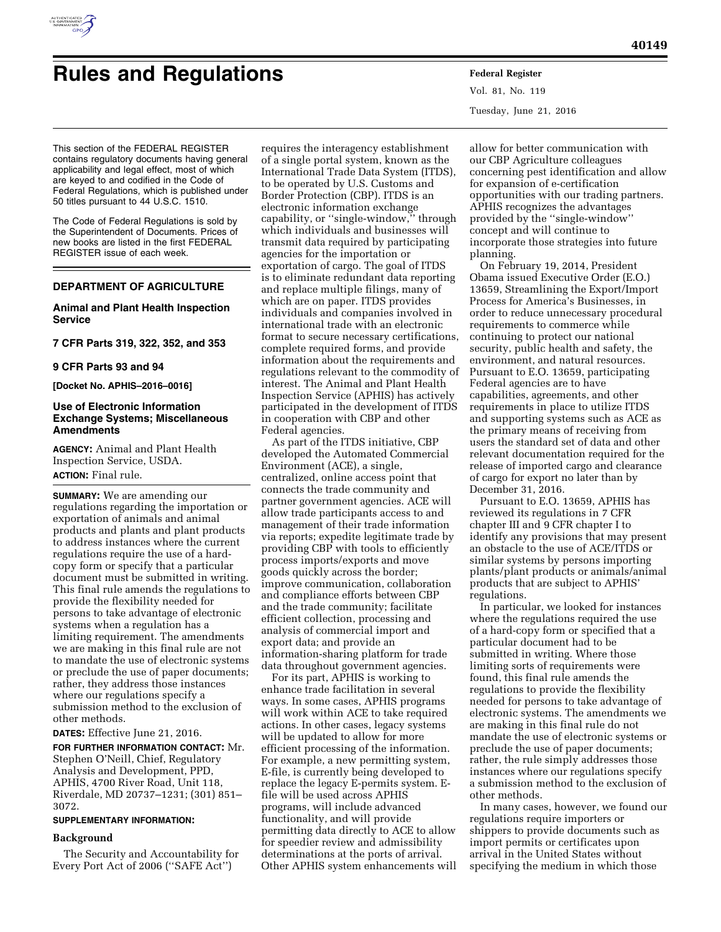

# **Rules and Regulations Federal Register**

Vol. 81, No. 119 Tuesday, June 21, 2016

This section of the FEDERAL REGISTER contains regulatory documents having general applicability and legal effect, most of which are keyed to and codified in the Code of Federal Regulations, which is published under 50 titles pursuant to 44 U.S.C. 1510.

The Code of Federal Regulations is sold by the Superintendent of Documents. Prices of new books are listed in the first FEDERAL REGISTER issue of each week.

# **DEPARTMENT OF AGRICULTURE**

# **Animal and Plant Health Inspection Service**

**7 CFR Parts 319, 322, 352, and 353** 

#### **9 CFR Parts 93 and 94**

**[Docket No. APHIS–2016–0016]** 

# **Use of Electronic Information Exchange Systems; Miscellaneous Amendments**

**AGENCY:** Animal and Plant Health Inspection Service, USDA. **ACTION:** Final rule.

**SUMMARY:** We are amending our regulations regarding the importation or exportation of animals and animal products and plants and plant products to address instances where the current regulations require the use of a hardcopy form or specify that a particular document must be submitted in writing. This final rule amends the regulations to provide the flexibility needed for persons to take advantage of electronic systems when a regulation has a limiting requirement. The amendments we are making in this final rule are not to mandate the use of electronic systems or preclude the use of paper documents; rather, they address those instances where our regulations specify a submission method to the exclusion of other methods.

**DATES:** Effective June 21, 2016.

**FOR FURTHER INFORMATION CONTACT:** Mr. Stephen O'Neill, Chief, Regulatory Analysis and Development, PPD, APHIS, 4700 River Road, Unit 118, Riverdale, MD 20737–1231; (301) 851– 3072.

# **SUPPLEMENTARY INFORMATION:**

#### **Background**

The Security and Accountability for Every Port Act of 2006 (''SAFE Act'')

requires the interagency establishment of a single portal system, known as the International Trade Data System (ITDS), to be operated by U.S. Customs and Border Protection (CBP). ITDS is an electronic information exchange capability, or ''single-window,'' through which individuals and businesses will transmit data required by participating agencies for the importation or exportation of cargo. The goal of ITDS is to eliminate redundant data reporting and replace multiple filings, many of which are on paper. ITDS provides individuals and companies involved in international trade with an electronic format to secure necessary certifications, complete required forms, and provide information about the requirements and regulations relevant to the commodity of interest. The Animal and Plant Health Inspection Service (APHIS) has actively participated in the development of ITDS in cooperation with CBP and other Federal agencies.

As part of the ITDS initiative, CBP developed the Automated Commercial Environment (ACE), a single, centralized, online access point that connects the trade community and partner government agencies. ACE will allow trade participants access to and management of their trade information via reports; expedite legitimate trade by providing CBP with tools to efficiently process imports/exports and move goods quickly across the border; improve communication, collaboration and compliance efforts between CBP and the trade community; facilitate efficient collection, processing and analysis of commercial import and export data; and provide an information-sharing platform for trade data throughout government agencies.

For its part, APHIS is working to enhance trade facilitation in several ways. In some cases, APHIS programs will work within ACE to take required actions. In other cases, legacy systems will be updated to allow for more efficient processing of the information. For example, a new permitting system, E-file, is currently being developed to replace the legacy E-permits system. Efile will be used across APHIS programs, will include advanced functionality, and will provide permitting data directly to ACE to allow for speedier review and admissibility determinations at the ports of arrival. Other APHIS system enhancements will

allow for better communication with our CBP Agriculture colleagues concerning pest identification and allow for expansion of e-certification opportunities with our trading partners. APHIS recognizes the advantages provided by the ''single-window'' concept and will continue to incorporate those strategies into future planning.

On February 19, 2014, President Obama issued Executive Order (E.O.) 13659, Streamlining the Export/Import Process for America's Businesses, in order to reduce unnecessary procedural requirements to commerce while continuing to protect our national security, public health and safety, the environment, and natural resources. Pursuant to E.O. 13659, participating Federal agencies are to have capabilities, agreements, and other requirements in place to utilize ITDS and supporting systems such as ACE as the primary means of receiving from users the standard set of data and other relevant documentation required for the release of imported cargo and clearance of cargo for export no later than by December 31, 2016.

Pursuant to E.O. 13659, APHIS has reviewed its regulations in 7 CFR chapter III and 9 CFR chapter I to identify any provisions that may present an obstacle to the use of ACE/ITDS or similar systems by persons importing plants/plant products or animals/animal products that are subject to APHIS' regulations.

In particular, we looked for instances where the regulations required the use of a hard-copy form or specified that a particular document had to be submitted in writing. Where those limiting sorts of requirements were found, this final rule amends the regulations to provide the flexibility needed for persons to take advantage of electronic systems. The amendments we are making in this final rule do not mandate the use of electronic systems or preclude the use of paper documents; rather, the rule simply addresses those instances where our regulations specify a submission method to the exclusion of other methods.

In many cases, however, we found our regulations require importers or shippers to provide documents such as import permits or certificates upon arrival in the United States without specifying the medium in which those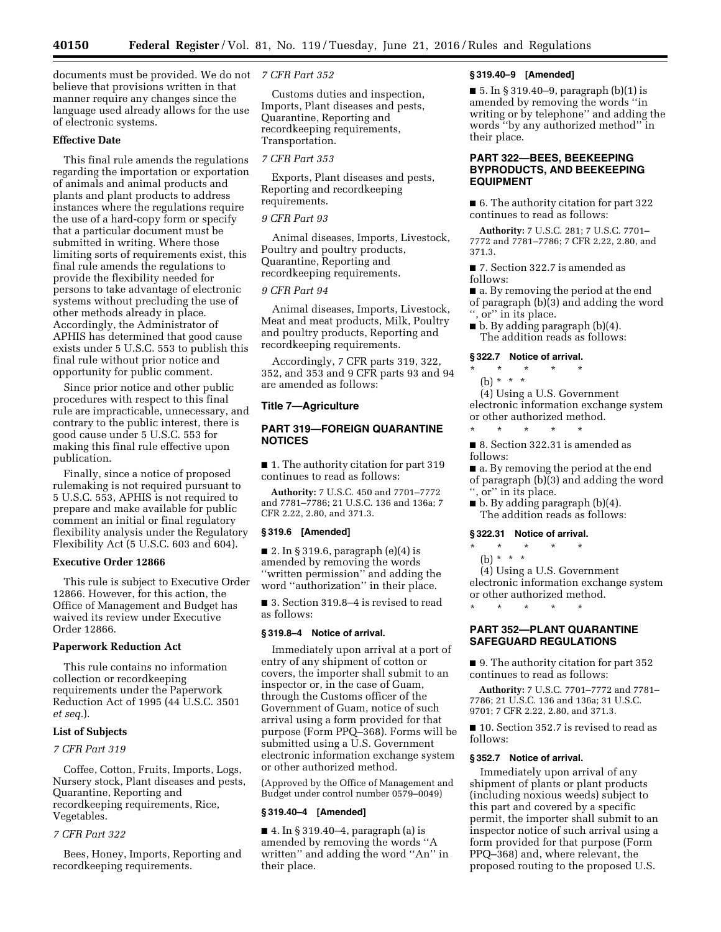**40150 Federal Register** / Vol. 81, No. 119 / Tuesday, June 21, 2016 / Rules and Regulations

documents must be provided. We do not *7 CFR Part 352*  believe that provisions written in that manner require any changes since the language used already allows for the use of electronic systems.

# **Effective Date**

This final rule amends the regulations regarding the importation or exportation of animals and animal products and plants and plant products to address instances where the regulations require the use of a hard-copy form or specify that a particular document must be submitted in writing. Where those limiting sorts of requirements exist, this final rule amends the regulations to provide the flexibility needed for persons to take advantage of electronic systems without precluding the use of other methods already in place. Accordingly, the Administrator of APHIS has determined that good cause exists under 5 U.S.C. 553 to publish this final rule without prior notice and opportunity for public comment.

Since prior notice and other public procedures with respect to this final rule are impracticable, unnecessary, and contrary to the public interest, there is good cause under 5 U.S.C. 553 for making this final rule effective upon publication.

Finally, since a notice of proposed rulemaking is not required pursuant to 5 U.S.C. 553, APHIS is not required to prepare and make available for public comment an initial or final regulatory flexibility analysis under the Regulatory Flexibility Act (5 U.S.C. 603 and 604).

# **Executive Order 12866**

This rule is subject to Executive Order 12866. However, for this action, the Office of Management and Budget has waived its review under Executive Order 12866.

# **Paperwork Reduction Act**

This rule contains no information collection or recordkeeping requirements under the Paperwork Reduction Act of 1995 (44 U.S.C. 3501 *et seq.*).

# **List of Subjects**

# *7 CFR Part 319*

Coffee, Cotton, Fruits, Imports, Logs, Nursery stock, Plant diseases and pests, Quarantine, Reporting and recordkeeping requirements, Rice, Vegetables.

# *7 CFR Part 322*

Bees, Honey, Imports, Reporting and recordkeeping requirements.

Customs duties and inspection, Imports, Plant diseases and pests, Quarantine, Reporting and recordkeeping requirements, Transportation.

# *7 CFR Part 353*

Exports, Plant diseases and pests, Reporting and recordkeeping requirements.

# *9 CFR Part 93*

Animal diseases, Imports, Livestock, Poultry and poultry products, Quarantine, Reporting and recordkeeping requirements.

### *9 CFR Part 94*

Animal diseases, Imports, Livestock, Meat and meat products, Milk, Poultry and poultry products, Reporting and recordkeeping requirements.

Accordingly, 7 CFR parts 319, 322, 352, and 353 and 9 CFR parts 93 and 94 are amended as follows:

# **Title 7—Agriculture**

# **PART 319—FOREIGN QUARANTINE NOTICES**

■ 1. The authority citation for part 319 continues to read as follows:

**Authority:** 7 U.S.C. 450 and 7701–7772 and 7781–7786; 21 U.S.C. 136 and 136a; 7 CFR 2.22, 2.80, and 371.3.

#### **§ 319.6 [Amended]**

■ 2. In § 319.6, paragraph  $(e)(4)$  is amended by removing the words ''written permission'' and adding the word ''authorization'' in their place.

■ 3. Section 319.8–4 is revised to read as follows:

### **§ 319.8–4 Notice of arrival.**

Immediately upon arrival at a port of entry of any shipment of cotton or covers, the importer shall submit to an inspector or, in the case of Guam, through the Customs officer of the Government of Guam, notice of such arrival using a form provided for that purpose (Form PPQ–368). Forms will be submitted using a U.S. Government electronic information exchange system or other authorized method.

(Approved by the Office of Management and Budget under control number 0579–0049)

#### **§ 319.40–4 [Amended]**

■ 4. In § 319.40–4, paragraph (a) is amended by removing the words ''A written'' and adding the word ''An'' in their place.

#### **§ 319.40–9 [Amended]**

■ 5. In § 319.40–9, paragraph (b)(1) is amended by removing the words ''in writing or by telephone'' and adding the words ''by any authorized method'' in their place.

# **PART 322—BEES, BEEKEEPING BYPRODUCTS, AND BEEKEEPING EQUIPMENT**

■ 6. The authority citation for part 322 continues to read as follows:

**Authority:** 7 U.S.C. 281; 7 U.S.C. 7701– 7772 and 7781–7786; 7 CFR 2.22, 2.80, and 371.3.

■ 7. Section 322.7 is amended as follows:

■ a. By removing the period at the end of paragraph (b)(3) and adding the word ", or" in its place.

 $\blacksquare$  b. By adding paragraph (b)(4). The addition reads as follows:

#### **§ 322.7 Notice of arrival.**

# \* \* \* \* \*

(b) \* \* \*

(4) Using a U.S. Government electronic information exchange system or other authorized method.

\* \* \* \* \* ■ 8. Section 322.31 is amended as follows:

■ a. By removing the period at the end of paragraph (b)(3) and adding the word

- ", or" in its place.
- b. By adding paragraph (b)(4). The addition reads as follows:

#### **§ 322.31 Notice of arrival.**

\* \* \* \* \*

(b) \* \* \*

(4) Using a U.S. Government electronic information exchange system or other authorized method.

\* \* \* \* \*

# **PART 352—PLANT QUARANTINE SAFEGUARD REGULATIONS**

■ 9. The authority citation for part 352 continues to read as follows:

**Authority:** 7 U.S.C. 7701–7772 and 7781– 7786; 21 U.S.C. 136 and 136a; 31 U.S.C. 9701; 7 CFR 2.22, 2.80, and 371.3.

■ 10. Section 352.7 is revised to read as follows:

#### **§ 352.7 Notice of arrival.**

Immediately upon arrival of any shipment of plants or plant products (including noxious weeds) subject to this part and covered by a specific permit, the importer shall submit to an inspector notice of such arrival using a form provided for that purpose (Form PPQ–368) and, where relevant, the proposed routing to the proposed U.S.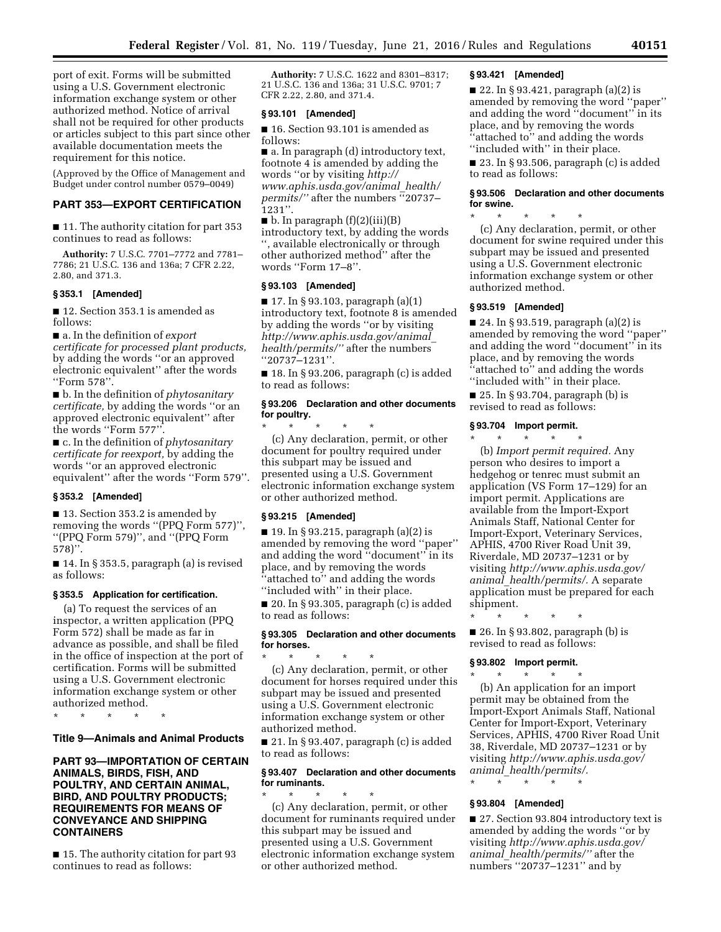port of exit. Forms will be submitted using a U.S. Government electronic information exchange system or other authorized method. Notice of arrival shall not be required for other products or articles subject to this part since other available documentation meets the requirement for this notice.

(Approved by the Office of Management and Budget under control number 0579–0049)

# **PART 353—EXPORT CERTIFICATION**

■ 11. The authority citation for part 353 continues to read as follows:

**Authority:** 7 U.S.C. 7701–7772 and 7781– 7786; 21 U.S.C. 136 and 136a; 7 CFR 2.22, 2.80, and 371.3.

#### **§ 353.1 [Amended]**

■ 12. Section 353.1 is amended as follows:

■ a. In the definition of *export certificate for processed plant products,*  by adding the words ''or an approved electronic equivalent'' after the words ''Form 578''.

■ b. In the definition of *phytosanitary certificate,* by adding the words ''or an approved electronic equivalent'' after the words ''Form 577''.

■ c. In the definition of *phytosanitary certificate for reexport,* by adding the words ''or an approved electronic equivalent'' after the words ''Form 579''.

# **§ 353.2 [Amended]**

■ 13. Section 353.2 is amended by removing the words ''(PPQ Form 577)'', ''(PPQ Form 579)'', and ''(PPQ Form 578)''.

■ 14. In § 353.5, paragraph (a) is revised as follows:

#### **§ 353.5 Application for certification.**

(a) To request the services of an inspector, a written application (PPQ Form 572) shall be made as far in advance as possible, and shall be filed in the office of inspection at the port of certification. Forms will be submitted using a U.S. Government electronic information exchange system or other authorized method.

\* \* \* \* \*

#### **Title 9—Animals and Animal Products**

# **PART 93—IMPORTATION OF CERTAIN ANIMALS, BIRDS, FISH, AND POULTRY, AND CERTAIN ANIMAL, BIRD, AND POULTRY PRODUCTS; REQUIREMENTS FOR MEANS OF CONVEYANCE AND SHIPPING CONTAINERS**

■ 15. The authority citation for part 93 continues to read as follows:

**Authority:** 7 U.S.C. 1622 and 8301–8317; 21 U.S.C. 136 and 136a; 31 U.S.C. 9701; 7 CFR 2.22, 2.80, and 371.4.

# **§ 93.101 [Amended]**

■ 16. Section 93.101 is amended as follows:

■ a. In paragraph (d) introductory text, footnote 4 is amended by adding the words ''or by visiting *[http://](http://www.aphis.usda.gov/animal_health/permits/) [www.aphis.usda.gov/animal](http://www.aphis.usda.gov/animal_health/permits/)*\_*health/ [permits/''](http://www.aphis.usda.gov/animal_health/permits/)* after the numbers ''20737– 1231''.

 $\blacksquare$  b. In paragraph  $(f)(2)(iii)(B)$ introductory text, by adding the words '', available electronically or through other authorized method'' after the words ''Form 17–8''.

# **§ 93.103 [Amended]**

■ 17. In § 93.103, paragraph (a)(1) introductory text, footnote 8 is amended by adding the words ''or by visiting *[http://www.aphis.usda.gov/animal](http://www.aphis.usda.gov/animal_health/permits/)*\_ *[health/permits/''](http://www.aphis.usda.gov/animal_health/permits/)* after the numbers ''20737–1231''.

■ 18. In § 93.206, paragraph (c) is added to read as follows:

### **§ 93.206 Declaration and other documents for poultry.**

\* \* \* \* \* (c) Any declaration, permit, or other document for poultry required under this subpart may be issued and presented using a U.S. Government electronic information exchange system or other authorized method.

#### **§ 93.215 [Amended]**

■ 19. In § 93.215, paragraph (a)(2) is amended by removing the word ''paper'' and adding the word ''document'' in its place, and by removing the words ''attached to'' and adding the words ''included with'' in their place.

 $\blacksquare$  20. In § 93.305, paragraph (c) is added to read as follows:

# **§ 93.305 Declaration and other documents for horses.**

\* \* \* \* \* (c) Any declaration, permit, or other document for horses required under this subpart may be issued and presented using a U.S. Government electronic information exchange system or other authorized method.

■ 21. In § 93.407, paragraph (c) is added to read as follows:

# **§ 93.407 Declaration and other documents for ruminants.**

\* \* \* \* \* (c) Any declaration, permit, or other document for ruminants required under this subpart may be issued and presented using a U.S. Government electronic information exchange system or other authorized method.

# **§ 93.421 [Amended]**

■ 22. In § 93.421, paragraph (a)(2) is amended by removing the word ''paper'' and adding the word ''document'' in its place, and by removing the words ''attached to'' and adding the words ''included with'' in their place.

■ 23. In § 93.506, paragraph (c) is added to read as follows:

# **§ 93.506 Declaration and other documents for swine.**

\* \* \* \* \* (c) Any declaration, permit, or other document for swine required under this subpart may be issued and presented using a U.S. Government electronic information exchange system or other authorized method.

#### **§ 93.519 [Amended]**

■ 24. In § 93.519, paragraph (a)(2) is amended by removing the word ''paper'' and adding the word ''document'' in its place, and by removing the words "attached to" and adding the words ''included with'' in their place.

 $\blacksquare$  25. In § 93.704, paragraph (b) is revised to read as follows:

#### **§ 93.704 Import permit.**

\* \* \* \* \* (b) *Import permit required.* Any person who desires to import a hedgehog or tenrec must submit an application (VS Form 17–129) for an import permit. Applications are available from the Import-Export Animals Staff, National Center for Import-Export, Veterinary Services, APHIS, 4700 River Road Unit 39, Riverdale, MD 20737–1231 or by visiting *[http://www.aphis.usda.gov/](http://www.aphis.usda.gov/animal_health/permits/) animal*\_*[health/permits/.](http://www.aphis.usda.gov/animal_health/permits/)* A separate application must be prepared for each shipment.

■ 26. In § 93.802, paragraph (b) is revised to read as follows:

# **§ 93.802 Import permit.**

\* \* \* \* \*

\* \* \* \* \* (b) An application for an import permit may be obtained from the Import-Export Animals Staff, National Center for Import-Export, Veterinary Services, APHIS, 4700 River Road Unit 38, Riverdale, MD 20737–1231 or by visiting *[http://www.aphis.usda.gov/](http://www.aphis.usda.gov/animal_health/permits/) animal*\_*[health/permits/.](http://www.aphis.usda.gov/animal_health/permits/)* 

#### **§ 93.804 [Amended]**

\* \* \* \* \*

■ 27. Section 93.804 introductory text is amended by adding the words ''or by visiting *[http://www.aphis.usda.gov/](http://www.aphis.usda.gov/animal_health/permits/) animal*\_*[health/permits/''](http://www.aphis.usda.gov/animal_health/permits/)* after the numbers ''20737–1231'' and by